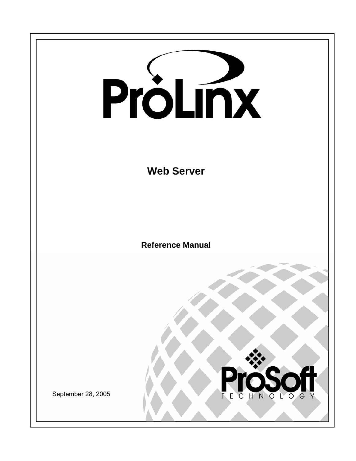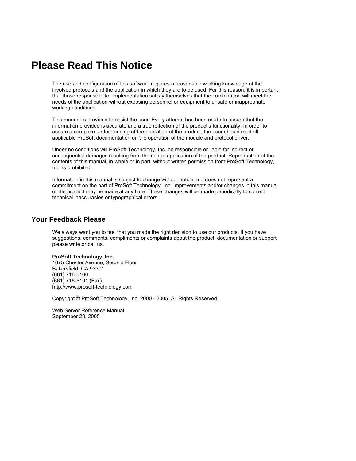# <span id="page-1-0"></span>**Please Read This Notice**

The use and configuration of this software requires a reasonable working knowledge of the involved protocols and the application in which they are to be used. For this reason, it is important that those responsible for implementation satisfy themselves that the combination will meet the needs of the application without exposing personnel or equipment to unsafe or inappropriate working conditions.

This manual is provided to assist the user. Every attempt has been made to assure that the information provided is accurate and a true reflection of the product's functionality. In order to assure a complete understanding of the operation of the product, the user should read all applicable ProSoft documentation on the operation of the module and protocol driver.

Under no conditions will ProSoft Technology, Inc. be responsible or liable for indirect or consequential damages resulting from the use or application of the product. Reproduction of the contents of this manual, in whole or in part, without written permission from ProSoft Technology, Inc. is prohibited.

Information in this manual is subject to change without notice and does not represent a commitment on the part of ProSoft Technology, Inc. Improvements and/or changes in this manual or the product may be made at any time. These changes will be made periodically to correct technical inaccuracies or typographical errors.

#### <span id="page-1-1"></span>**Your Feedback Please**

We always want you to feel that you made the right decision to use our products. If you have suggestions, comments, compliments or complaints about the product, documentation or support, please write or call us.

#### **ProSoft Technology, Inc.**

1675 Chester Avenue, Second Floor Bakersfield, CA 93301 (661) 716-5100 (661) 716-5101 (Fax) http://www.prosoft-technology.com

Copyright © ProSoft Technology, Inc. 2000 - 2005. All Rights Reserved.

Web Server Reference Manual September 28, 2005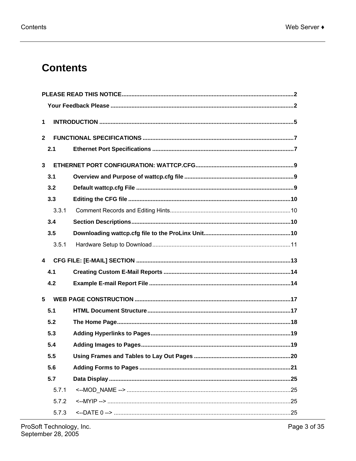# **Contents**

| 1            |  |  |
|--------------|--|--|
| $\mathbf{2}$ |  |  |
| 2.1          |  |  |
| 3            |  |  |
| 3.1          |  |  |
| 3.2          |  |  |
| 3.3          |  |  |
| 3.3.1        |  |  |
| 3.4          |  |  |
| 3.5          |  |  |
| 3.5.1        |  |  |
| 4            |  |  |
| 4.1          |  |  |
| 4.2          |  |  |
| 5            |  |  |
| 5.1          |  |  |
| 5.2          |  |  |
| 5.3          |  |  |
| 5.4          |  |  |
| 5.5          |  |  |
| 5.6          |  |  |
| 5.7          |  |  |
| 5.7.1        |  |  |
| 5.7.2        |  |  |
| 5.7.3        |  |  |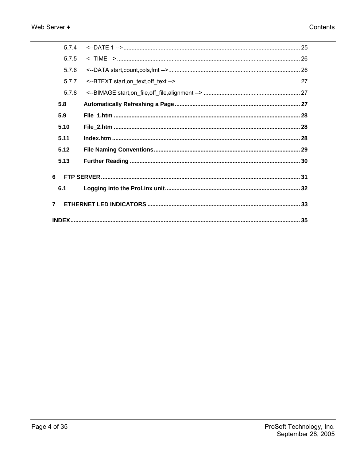| 574            |  |  |  |
|----------------|--|--|--|
| 5.7.5          |  |  |  |
| 5.7.6          |  |  |  |
| 5.7.7          |  |  |  |
| 5.7.8          |  |  |  |
| 5.8            |  |  |  |
| 5.9            |  |  |  |
| 5.10           |  |  |  |
| 5.11           |  |  |  |
| 5.12           |  |  |  |
| 5.13           |  |  |  |
| 6              |  |  |  |
| 6.1            |  |  |  |
| $\overline{7}$ |  |  |  |
|                |  |  |  |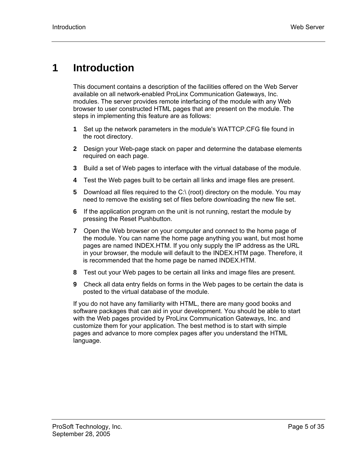# <span id="page-4-0"></span>**1 Introduction**

This document contains a description of the facilities offered on the Web Server available on all network-enabled ProLinx Communication Gateways, Inc. modules. The server provides remote interfacing of the module with any Web browser to user constructed HTML pages that are present on the module. The steps in implementing this feature are as follows:

- **1** Set up the network parameters in the module's WATTCP.CFG file found in the root directory.
- **2** Design your Web-page stack on paper and determine the database elements required on each page.
- **3** Build a set of Web pages to interface with the virtual database of the module.
- **4** Test the Web pages built to be certain all links and image files are present.
- **5** Download all files required to the C:\ (root) directory on the module. You may need to remove the existing set of files before downloading the new file set.
- **6** If the application program on the unit is not running, restart the module by pressing the Reset Pushbutton.
- **7** Open the Web browser on your computer and connect to the home page of the module. You can name the home page anything you want, but most home pages are named INDEX.HTM. If you only supply the IP address as the URL in your browser, the module will default to the INDEX.HTM page. Therefore, it is recommended that the home page be named INDEX.HTM.
- **8** Test out your Web pages to be certain all links and image files are present.
- **9** Check all data entry fields on forms in the Web pages to be certain the data is posted to the virtual database of the module.

If you do not have any familiarity with HTML, there are many good books and software packages that can aid in your development. You should be able to start with the Web pages provided by ProLinx Communication Gateways, Inc. and customize them for your application. The best method is to start with simple pages and advance to more complex pages after you understand the HTML language.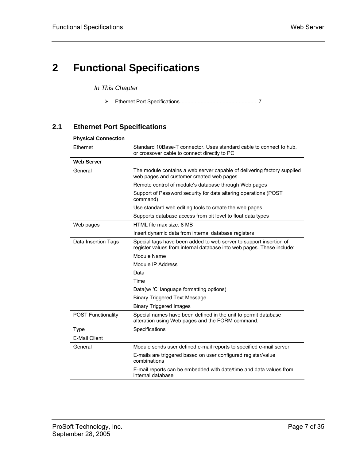# <span id="page-6-0"></span>**2 Functional Specifications**

*In This Chapter* 

¾ [Ethernet Port Specifications.](#page-6-1).................................................... [7](#page-6-1) 

#### **2.1 Ethernet Port Specifications**

<span id="page-6-1"></span>

| <b>Physical Connection</b> |                                                                                                                                             |  |  |
|----------------------------|---------------------------------------------------------------------------------------------------------------------------------------------|--|--|
| Ethernet                   | Standard 10Base-T connector. Uses standard cable to connect to hub,<br>or crossover cable to connect directly to PC                         |  |  |
| <b>Web Server</b>          |                                                                                                                                             |  |  |
| General                    | The module contains a web server capable of delivering factory supplied<br>web pages and customer created web pages.                        |  |  |
|                            | Remote control of module's database through Web pages                                                                                       |  |  |
|                            | Support of Password security for data altering operations (POST<br>command)                                                                 |  |  |
|                            | Use standard web editing tools to create the web pages                                                                                      |  |  |
|                            | Supports database access from bit level to float data types                                                                                 |  |  |
| Web pages                  | HTML file max size: 8 MB                                                                                                                    |  |  |
|                            | Insert dynamic data from internal database registers                                                                                        |  |  |
| Data Insertion Tags        | Special tags have been added to web server to support insertion of<br>register values from internal database into web pages. These include: |  |  |
|                            | Module Name                                                                                                                                 |  |  |
|                            | Module IP Address                                                                                                                           |  |  |
|                            | Data                                                                                                                                        |  |  |
|                            | Time                                                                                                                                        |  |  |
|                            | Data(w/ 'C' language formatting options)                                                                                                    |  |  |
|                            | <b>Binary Triggered Text Message</b>                                                                                                        |  |  |
|                            | <b>Binary Triggered Images</b>                                                                                                              |  |  |
| <b>POST Functionality</b>  | Special names have been defined in the unit to permit database<br>alteration using Web pages and the FORM command.                          |  |  |
| Type                       | Specifications                                                                                                                              |  |  |
| <b>E-Mail Client</b>       |                                                                                                                                             |  |  |
| General                    | Module sends user defined e-mail reports to specified e-mail server.                                                                        |  |  |
|                            | E-mails are triggered based on user configured register/value<br>combinations                                                               |  |  |
|                            | E-mail reports can be embedded with date/time and data values from<br>internal database                                                     |  |  |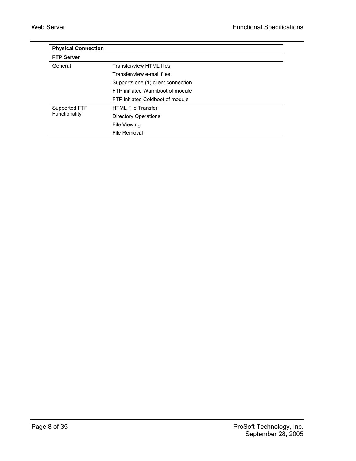| <b>Physical Connection</b> |                                    |
|----------------------------|------------------------------------|
| <b>FTP Server</b>          |                                    |
| General                    | Transfer/view HTML files           |
|                            | Transfer/view e-mail files         |
|                            | Supports one (1) client connection |
|                            | FTP initiated Warmboot of module   |
|                            | FTP initiated Coldboot of module   |
| Supported FTP              | <b>HTML File Transfer</b>          |
| Functionality              | <b>Directory Operations</b>        |
|                            | File Viewing                       |
|                            | File Removal                       |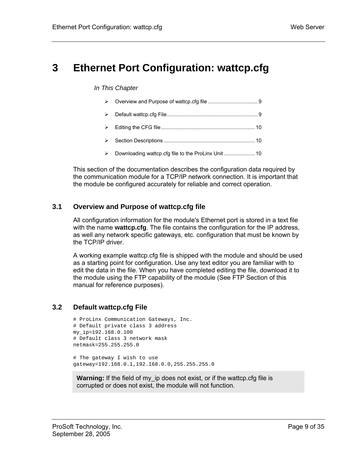# <span id="page-8-0"></span>**3 Ethernet Port Configuration: wattcp.cfg**

#### *In This Chapter*

| $\rightarrow$ |                                                     |
|---------------|-----------------------------------------------------|
| $\rightarrow$ |                                                     |
| $\rightarrow$ |                                                     |
| $\rightarrow$ | Downloading wattcp.cfg file to the ProLinx Unit  10 |

This section of the documentation describes the configuration data required by the communication module for a TCP/IP network connection. It is important that the module be configured accurately for reliable and correct operation.

#### **3.1 Overview and Purpose of wattcp.cfg file**

<span id="page-8-1"></span>All configuration information for the module's Ethernet port is stored in a text file with the name **wattcp.cfg**. The file contains the configuration for the IP address, as well any network specific gateways, etc. configuration that must be known by the TCP/IP driver.

A working example wattcp.cfg file is shipped with the module and should be used as a starting point for configuration. Use any text editor you are familiar with to edit the data in the file. When you have completed editing the file, download it to the module using the FTP capability of the module (See FTP Section of this manual for reference purposes).

#### **3.2 Default wattcp.cfg File**

```
# ProLinx Communication Gateways, Inc. 
# Default private class 3 address 
my_ip=192.168.0.100 
# Default class 3 network mask 
netmask=255.255.255.0 
# The gateway I wish to use
```
gateway=192.168.0.1,192.168.0.0,255.255.255.0

**Warning:** If the field of my ip does not exist, or if the wattcp.cfg file is corrupted or does not exist, the module will not function.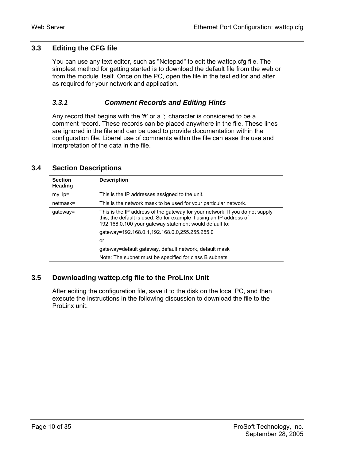#### **3.3 Editing the CFG file**

<span id="page-9-0"></span>You can use any text editor, such as "Notepad" to edit the wattcp.cfg file. The simplest method for getting started is to download the default file from the web or from the module itself. Once on the PC, open the file in the text editor and alter as required for your network and application.

#### <span id="page-9-1"></span>*3.3.1 Comment Records and Editing Hints*

Any record that begins with the '**#**' or a ';' character is considered to be a comment record. These records can be placed anywhere in the file. These lines are ignored in the file and can be used to provide documentation within the configuration file. Liberal use of comments within the file can ease the use and interpretation of the data in the file.

<span id="page-9-2"></span>

| <b>Section</b><br><b>Heading</b> | <b>Description</b>                                                                                                                                                                                            |
|----------------------------------|---------------------------------------------------------------------------------------------------------------------------------------------------------------------------------------------------------------|
| $my$ ip=                         | This is the IP addresses assigned to the unit.                                                                                                                                                                |
| $netmask =$                      | This is the network mask to be used for your particular network.                                                                                                                                              |
| gateway=                         | This is the IP address of the gateway for your network. If you do not supply<br>this, the default is used. So for example if using an IP address of<br>192.168.0.100 your gateway statement would default to: |
|                                  | qateway=192.168.0.1,192.168.0.0,255.255.255.0                                                                                                                                                                 |
|                                  | or                                                                                                                                                                                                            |
|                                  | gateway=default gateway, default network, default mask                                                                                                                                                        |
|                                  | Note: The subnet must be specified for class B subnets                                                                                                                                                        |

#### **3.4 Section Descriptions**

#### **3.5 Downloading wattcp.cfg file to the ProLinx Unit**

<span id="page-9-3"></span>After editing the configuration file, save it to the disk on the local PC, and then execute the instructions in the following discussion to download the file to the ProLinx unit.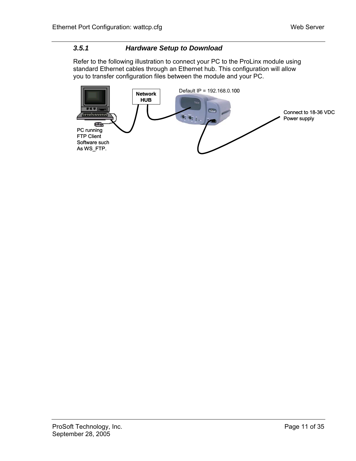#### <span id="page-10-0"></span>*3.5.1 Hardware Setup to Download*

Refer to the following illustration to connect your PC to the ProLinx module using standard Ethernet cables through an Ethernet hub. This configuration will allow you to transfer configuration files between the module and your PC.

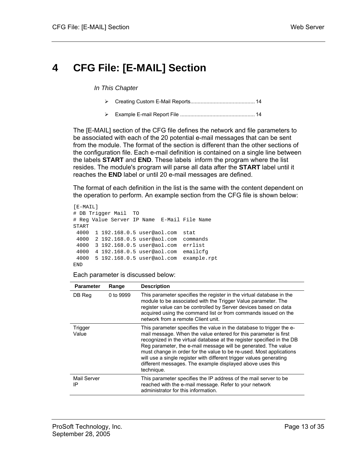# <span id="page-12-0"></span>**4 CFG File: [E-MAIL] Section**

*In This Chapter* 

- ¾ [Creating Custom E-Mail Reports.](#page-13-0)........................................... [14](#page-13-0)
- ¾ [Example E-mail Report File](#page-13-1) ................................................... [14](#page-13-1)

The [E-MAIL] section of the CFG file defines the network and file parameters to be associated with each of the 20 potential e-mail messages that can be sent from the module. The format of the section is different than the other sections of the configuration file. Each e-mail definition is contained on a single line between the labels **START** and **END**. These labels inform the program where the list resides. The module's program will parse all data after the **START** label until it reaches the **END** label or until 20 e-mail messages are defined.

The format of each definition in the list is the same with the content dependent on the operation to perform. An example section from the CFG file is shown below:

```
[E-MAIL] 
# DB Trigger Mail TO 
# Reg Value Server IP Name E-Mail File Name 
START 
  4000 1 192.168.0.5 user@aol.com stat 
  4000 2 192.168.0.5 user@aol.com commands 
  4000 3 192.168.0.5 user@aol.com errlist 
  4000 4 192.168.0.5 user@aol.com emailcfg 
  4000 5 192.168.0.5 user@aol.com example.rpt 
END
```
Each parameter is discussed below:

| <b>Parameter</b>  | Range     | <b>Description</b>                                                                                                                                                                                                                                                                                                                                                                                                                                                                                            |
|-------------------|-----------|---------------------------------------------------------------------------------------------------------------------------------------------------------------------------------------------------------------------------------------------------------------------------------------------------------------------------------------------------------------------------------------------------------------------------------------------------------------------------------------------------------------|
| DB Reg            | 0 to 9999 | This parameter specifies the register in the virtual database in the<br>module to be associated with the Trigger Value parameter. The<br>register value can be controlled by Server devices based on data<br>acquired using the command list or from commands issued on the<br>network from a remote Client unit.                                                                                                                                                                                             |
| Trigger<br>Value  |           | This parameter specifies the value in the database to trigger the e-<br>mail message. When the value entered for this parameter is first<br>recognized in the virtual database at the register specified in the DB<br>Reg parameter, the e-mail message will be generated. The value<br>must change in order for the value to be re-used. Most applications<br>will use a single register with different trigger values generating<br>different messages. The example displayed above uses this<br>technique. |
| Mail Server<br>IP |           | This parameter specifies the IP address of the mail server to be<br>reached with the e-mail message. Refer to your network<br>administrator for this information.                                                                                                                                                                                                                                                                                                                                             |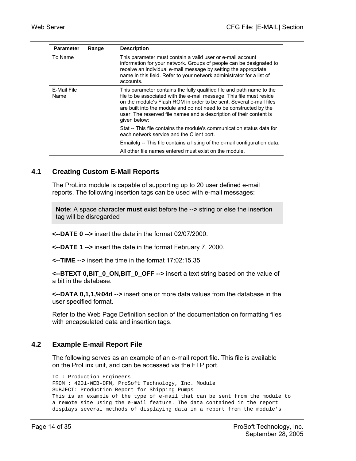| <b>Parameter</b>    | Range | <b>Description</b>                                                                                                                                                                                                                                                                                                                                                                |
|---------------------|-------|-----------------------------------------------------------------------------------------------------------------------------------------------------------------------------------------------------------------------------------------------------------------------------------------------------------------------------------------------------------------------------------|
| To Name             |       | This parameter must contain a valid user or e-mail account<br>information for your network. Groups of people can be designated to<br>receive an individual e-mail message by setting the appropriate<br>name in this field. Refer to your network administrator for a list of<br>accounts.                                                                                        |
| E-Mail File<br>Name |       | This parameter contains the fully qualified file and path name to the<br>file to be associated with the e-mail message. This file must reside<br>on the module's Flash ROM in order to be sent. Several e-mail files<br>are built into the module and do not need to be constructed by the<br>user. The reserved file names and a description of their content is<br>given below: |
|                     |       | Stat -- This file contains the module's communication status data for<br>each network service and the Client port.                                                                                                                                                                                                                                                                |
|                     |       | Emailcfg -- This file contains a listing of the e-mail configuration data.                                                                                                                                                                                                                                                                                                        |
|                     |       | All other file names entered must exist on the module.                                                                                                                                                                                                                                                                                                                            |

#### **4.1 Creating Custom E-Mail Reports**

<span id="page-13-0"></span>The ProLinx module is capable of supporting up to 20 user defined e-mail reports. The following insertion tags can be used with e-mail messages:

**Note**: A space character **must** exist before the **-->** string or else the insertion tag will be disregarded

**<--DATE 0 -->** insert the date in the format 02/07/2000.

**<--DATE 1 -->** insert the date in the format February 7, 2000.

**<--TIME -->** insert the time in the format 17:02:15.35

**<--BTEXT 0,BIT\_0\_ON,BIT\_0\_OFF -->** insert a text string based on the value of a bit in the database.

**<--DATA 0,1,1,%04d -->** insert one or more data values from the database in the user specified format.

Refer to the Web Page Definition section of the documentation on formatting files with encapsulated data and insertion tags.

#### **4.2 Example E-mail Report File**

<span id="page-13-1"></span>The following serves as an example of an e-mail report file. This file is available on the ProLinx unit, and can be accessed via the FTP port.

```
TO : Production Engineers 
FROM : 4201-WEB-DFM, ProSoft Technology, Inc. Module 
SUBJECT: Production Report for Shipping Pumps 
This is an example of the type of e-mail that can be sent from the module to 
a remote site using the e-mail feature. The data contained in the report 
displays several methods of displaying data in a report from the module's
```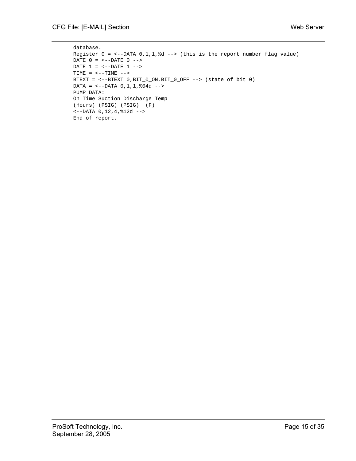```
database. 
Register 0 = \leftarrow-DATA 0,1,1,%d --> (this is the report number flag value)
DATE 0 = \leftarrow -DATE 0 \leftarrow \leftarrowDATE 1 = \leftarrow -DATE 1 \leftarrow \rightarrowTIME = <-TIME -->
BTEXT = <--BTEXT 0,BIT_0_ON,BIT_0_OFF --> (state of bit 0) 
DATA = <--DATA 0,1,1,%04d --> 
PUMP DATA: 
On Time Suction Discharge Temp 
(Hours) (PSIG) (PSIG) (F) 
<--DATA 0,12,4,%12d --> 
End of report.
```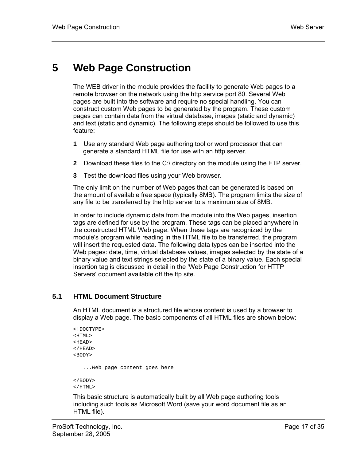# <span id="page-16-0"></span>**5 Web Page Construction**

The WEB driver in the module provides the facility to generate Web pages to a remote browser on the network using the http service port 80. Several Web pages are built into the software and require no special handling. You can construct custom Web pages to be generated by the program. These custom pages can contain data from the virtual database, images (static and dynamic) and text (static and dynamic). The following steps should be followed to use this feature:

- **1** Use any standard Web page authoring tool or word processor that can generate a standard HTML file for use with an http server.
- **2** Download these files to the C:\ directory on the module using the FTP server.
- **3** Test the download files using your Web browser.

The only limit on the number of Web pages that can be generated is based on the amount of available free space (typically 8MB). The program limits the size of any file to be transferred by the http server to a maximum size of 8MB.

In order to include dynamic data from the module into the Web pages, insertion tags are defined for use by the program. These tags can be placed anywhere in the constructed HTML Web page. When these tags are recognized by the module's program while reading in the HTML file to be transferred, the program will insert the requested data. The following data types can be inserted into the Web pages: date, time, virtual database values, images selected by the state of a binary value and text strings selected by the state of a binary value. Each special insertion tag is discussed in detail in the 'Web Page Construction for HTTP Servers' document available off the ftp site.

#### **5.1 HTML Document Structure**

<span id="page-16-1"></span>An HTML document is a structured file whose content is used by a browser to display a Web page. The basic components of all HTML files are shown below:

```
<!DOCTYPE> 
<HTML> 
<HEAD> 
</HEAD>
<BODY> 
    ...Web page content goes here 
</BODY> 
</HTML>
```
This basic structure is automatically built by all Web page authoring tools including such tools as Microsoft Word (save your word document file as an HTML file).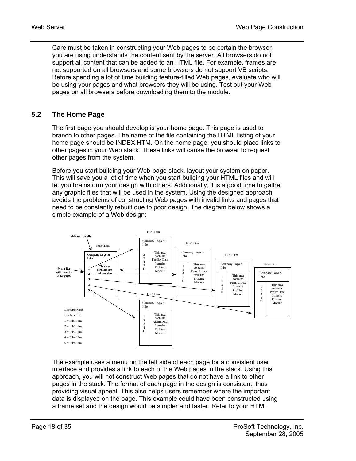Care must be taken in constructing your Web pages to be certain the browser you are using understands the content sent by the server. All browsers do not support all content that can be added to an HTML file. For example, frames are not supported on all browsers and some browsers do not support VB scripts. Before spending a lot of time building feature-filled Web pages, evaluate who will be using your pages and what browsers they will be using. Test out your Web pages on all browsers before downloading them to the module.

#### **5.2 The Home Page**

<span id="page-17-0"></span>The first page you should develop is your home page. This page is used to branch to other pages. The name of the file containing the HTML listing of your home page should be INDEX.HTM. On the home page, you should place links to other pages in your Web stack. These links will cause the browser to request other pages from the system.

Before you start building your Web-page stack, layout your system on paper. This will save you a lot of time when you start building your HTML files and will let you brainstorm your design with others. Additionally, it is a good time to gather any graphic files that will be used in the system. Using the designed approach avoids the problems of constructing Web pages with invalid links and pages that need to be constantly rebuilt due to poor design. The diagram below shows a simple example of a Web design:



The example uses a menu on the left side of each page for a consistent user interface and provides a link to each of the Web pages in the stack. Using this approach, you will not construct Web pages that do not have a link to other pages in the stack. The format of each page in the design is consistent, thus providing visual appeal. This also helps users remember where the important data is displayed on the page. This example could have been constructed using a frame set and the design would be simpler and faster. Refer to your HTML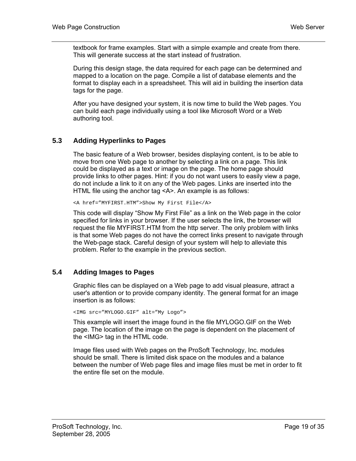textbook for frame examples. Start with a simple example and create from there. This will generate success at the start instead of frustration.

During this design stage, the data required for each page can be determined and mapped to a location on the page. Compile a list of database elements and the format to display each in a spreadsheet. This will aid in building the insertion data tags for the page.

After you have designed your system, it is now time to build the Web pages. You can build each page individually using a tool like Microsoft Word or a Web authoring tool.

#### **5.3 Adding Hyperlinks to Pages**

<span id="page-18-0"></span>The basic feature of a Web browser, besides displaying content, is to be able to move from one Web page to another by selecting a link on a page. This link could be displayed as a text or image on the page. The home page should provide links to other pages. Hint: if you do not want users to easily view a page, do not include a link to it on any of the Web pages. Links are inserted into the HTML file using the anchor tag <A>. An example is as follows:

<A href="MYFIRST.HTM">Show My First File</A>

This code will display "Show My First File" as a link on the Web page in the color specified for links in your browser. If the user selects the link, the browser will request the file MYFIRST.HTM from the http server. The only problem with links is that some Web pages do not have the correct links present to navigate through the Web-page stack. Careful design of your system will help to alleviate this problem. Refer to the example in the previous section.

#### **5.4 Adding Images to Pages**

<span id="page-18-1"></span>Graphic files can be displayed on a Web page to add visual pleasure, attract a user's attention or to provide company identity. The general format for an image insertion is as follows:

<IMG src="MYLOGO.GIF" alt="My Logo">

This example will insert the image found in the file MYLOGO.GIF on the Web page. The location of the image on the page is dependent on the placement of the <IMG> tag in the HTML code.

Image files used with Web pages on the ProSoft Technology, Inc. modules should be small. There is limited disk space on the modules and a balance between the number of Web page files and image files must be met in order to fit the entire file set on the module.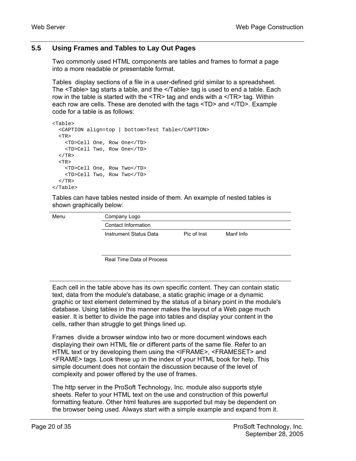#### **5.5 Using Frames and Tables to Lay Out Pages**

<span id="page-19-0"></span>Two commonly used HTML components are tables and frames to format a page into a more readable or presentable format.

Tables display sections of a file in a user-defined grid similar to a spreadsheet. The <Table> tag starts a table, and the </Table> tag is used to end a table. Each row in the table is started with the  $\langle TR \rangle$  tag and ends with a  $\langle TR \rangle$  tag. Within each row are cells. These are denoted with the tags <TD> and </TD>. Example code for a table is as follows:

```
<Table> 
  <CAPTION align=top | bottom>Test Table</CAPTION> 
 <TR> <TD>Cell One, Row One</TD> 
    <TD>Cell Two, Row One</TD> 
 </TR><TR> <TD>Cell One, Row Two</TD> 
     <TD>Cell Two, Row Two</TD> 
  < / TR></Table>
```
Tables can have tables nested inside of them. An example of nested tables is shown graphically below:

Menu

Company Logo Contact Information Instrument Status Data Pic of Inst Manf Info

Real Time Data of Process

Each cell in the table above has its own specific content. They can contain static text, data from the module's database, a static graphic image or a dynamic graphic or text element determined by the status of a binary point in the module's database. Using tables in this manner makes the layout of a Web page much easier. It is better to divide the page into tables and display your content in the cells, rather than struggle to get things lined up.

Frames divide a browser window into two or more document windows each displaying their own HTML file or different parts of the same file. Refer to an HTML text or try developing them using the <IFRAME>, <FRAMESET> and <FRAME> tags. Look these up in the index of your HTML book for help. This simple document does not contain the discussion because of the level of complexity and power offered by the use of frames.

The http server in the ProSoft Technology, Inc. module also supports style sheets. Refer to your HTML text on the use and construction of this powerful formatting feature. Other html features are supported but may be dependent on the browser being used. Always start with a simple example and expand from it.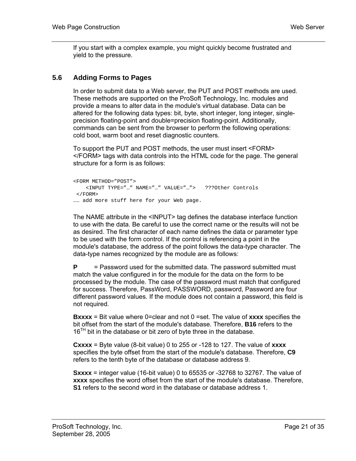If you start with a complex example, you might quickly become frustrated and yield to the pressure.

#### **5.6 Adding Forms to Pages**

<span id="page-20-0"></span>In order to submit data to a Web server, the PUT and POST methods are used. These methods are supported on the ProSoft Technology, Inc. modules and provide a means to alter data in the module's virtual database. Data can be altered for the following data types: bit, byte, short integer, long integer, singleprecision floating-point and double=precision floating-point. Additionally, commands can be sent from the browser to perform the following operations: cold boot, warm boot and reset diagnostic counters.

To support the PUT and POST methods, the user must insert <FORM> </FORM> tags with data controls into the HTML code for the page. The general structure for a form is as follows:

```
<FORM METHOD="POST"> 
     <INPUT TYPE="…" NAME="…" VALUE="…"> ???Other Controls 
  </FORM> 
…… add more stuff here for your Web page.
```
The NAME attribute in the <INPUT> tag defines the database interface function to use with the data. Be careful to use the correct name or the results will not be as desired. The first character of each name defines the data or parameter type to be used with the form control. If the control is referencing a point in the module's database, the address of the point follows the data-type character. The data-type names recognized by the module are as follows:

**P**  $=$  Password used for the submitted data. The password submitted must match the value configured in for the module for the data on the form to be processed by the module. The case of the password must match that configured for success. Therefore, PassWord, PASSWORD, password, Password are four different password values. If the module does not contain a password, this field is not required.

**Bxxxx** = Bit value where 0=clear and not 0 =set. The value of **xxxx** specifies the bit offset from the start of the module's database. Therefore, **B16** refers to the  $16<sup>TH</sup>$  bit in the database or bit zero of byte three in the database.

**Cxxxx** = Byte value (8-bit value) 0 to 255 or -128 to 127. The value of **xxxx** specifies the byte offset from the start of the module's database. Therefore, **C9** refers to the tenth byte of the database or database address 9.

**Sxxxx** = integer value (16-bit value) 0 to 65535 or -32768 to 32767. The value of **xxxx** specifies the word offset from the start of the module's database. Therefore, **S1** refers to the second word in the database or database address 1.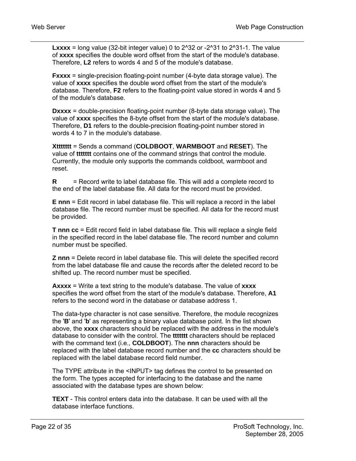**Lxxxx** = long value (32-bit integer value) 0 to  $2^3$ 2 or  $-2^3$ 31 to  $2^3$ 31-1. The value of **xxxx** specifies the double word offset from the start of the module's database. Therefore, **L2** refers to words 4 and 5 of the module's database.

**Fxxxx** = single-precision floating-point number (4-byte data storage value). The value of **xxxx** specifies the double word offset from the start of the module's database. Therefore, **F2** refers to the floating-point value stored in words 4 and 5 of the module's database.

**Dxxxx** = double-precision floating-point number (8-byte data storage value). The value of **xxxx** specifies the 8-byte offset from the start of the module's database. Therefore, **D1** refers to the double-precision floating-point number stored in words 4 to 7 in the module's database.

**Xttttttt** = Sends a command (**COLDBOOT**, **WARMBOOT** and **RESET**). The value of **ttttttt** contains one of the command strings that control the module. Currently, the module only supports the commands coldboot, warmboot and reset.

**R** = Record write to label database file. This will add a complete record to the end of the label database file. All data for the record must be provided.

**E nnn** = Edit record in label database file. This will replace a record in the label database file. The record number must be specified. All data for the record must be provided.

**T nnn cc** = Edit record field in label database file. This will replace a single field in the specified record in the label database file. The record number and column number must be specified.

**Z nnn** = Delete record in label database file. This will delete the specified record from the label database file and cause the records after the deleted record to be shifted up. The record number must be specified.

**Axxxx** = Write a text string to the module's database. The value of **xxxx** specifies the word offset from the start of the module's database. Therefore, **A1** refers to the second word in the database or database address 1.

The data-type character is not case sensitive. Therefore, the module recognizes the '**B**' and '**b**' as representing a binary value database point. In the list shown above, the **xxxx** characters should be replaced with the address in the module's database to consider with the control. The **ttttttt** characters should be replaced with the command text (i.e., **COLDBOOT**). The **nnn** characters should be replaced with the label database record number and the **cc** characters should be replaced with the label database record field number.

The TYPE attribute in the <INPUT> tag defines the control to be presented on the form. The types accepted for interfacing to the database and the name associated with the database types are shown below:

**TEXT** - This control enters data into the database. It can be used with all the database interface functions.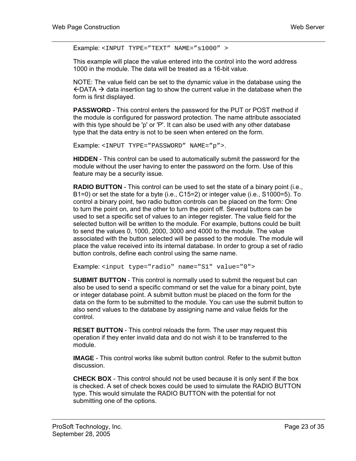Example: <INPUT TYPE="TEXT" NAME="s1000" >

This example will place the value entered into the control into the word address 1000 in the module. The data will be treated as a 16-bit value.

NOTE: The value field can be set to the dynamic value in the database using the  $\leftarrow$  DATA  $\rightarrow$  data insertion tag to show the current value in the database when the form is first displayed.

**PASSWORD** - This control enters the password for the PUT or POST method if the module is configured for password protection. The name attribute associated with this type should be 'p' or 'P'. It can also be used with any other database type that the data entry is not to be seen when entered on the form.

```
Example: <INPUT TYPE="PASSWORD" NAME="p">.
```
**HIDDEN** - This control can be used to automatically submit the password for the module without the user having to enter the password on the form. Use of this feature may be a security issue.

**RADIO BUTTON** - This control can be used to set the state of a binary point (i.e., B1=0) or set the state for a byte (i.e., C15=2) or integer value (i.e., S1000=5). To control a binary point, two radio button controls can be placed on the form: One to turn the point on, and the other to turn the point off. Several buttons can be used to set a specific set of values to an integer register. The value field for the selected button will be written to the module. For example, buttons could be built to send the values 0, 1000, 2000, 3000 and 4000 to the module. The value associated with the button selected will be passed to the module. The module will place the value received into its internal database. In order to group a set of radio button controls, define each control using the same name.

Example: <input type="radio" name="S1" value="0">

**SUBMIT BUTTON** - This control is normally used to submit the request but can also be used to send a specific command or set the value for a binary point, byte or integer database point. A submit button must be placed on the form for the data on the form to be submitted to the module. You can use the submit button to also send values to the database by assigning name and value fields for the control.

**RESET BUTTON** - This control reloads the form. The user may request this operation if they enter invalid data and do not wish it to be transferred to the module.

**IMAGE** - This control works like submit button control. Refer to the submit button discussion.

**CHECK BOX** - This control should not be used because it is only sent if the box is checked. A set of check boxes could be used to simulate the RADIO BUTTON type. This would simulate the RADIO BUTTON with the potential for not submitting one of the options.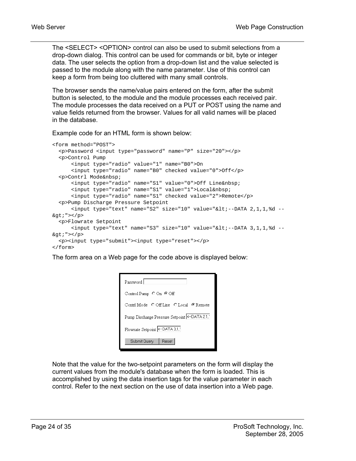The <SELECT> <OPTION> control can also be used to submit selections from a drop-down dialog. This control can be used for commands or bit, byte or integer data. The user selects the option from a drop-down list and the value selected is passed to the module along with the name parameter. Use of this control can keep a form from being too cluttered with many small controls.

The browser sends the name/value pairs entered on the form, after the submit button is selected, to the module and the module processes each received pair. The module processes the data received on a PUT or POST using the name and value fields returned from the browser. Values for all valid names will be placed in the database.

Example code for an HTML form is shown below:

```
<form method="POST"> 
   <p>Password <input type="password" name="P" size="20"></p> 
   <p>Control Pump 
       <input type="radio" value="1" name="B0">On 
       <input type="radio" name="B0" checked value="0">Off</p> 
  <p>Contrl Mode&nbsp;
       <input type="radio" name="S1" value="0">Off Line&nbsp; 
       <input type="radio" name="S1" value="1">Local&nbsp; 
       <input type="radio" name="S1" checked value="2">Remote</p> 
   <p>Pump Discharge Pressure Setpoint 
      \langleinput type="text" name="S2" size="10" value="<--DATA 2,1,1,%d --
\> \frac{1}{2} <p>Flowrate Setpoint 
     \langleinput type="text" name="S3" size="10" value="<--DATA 3,1,1,%d --
\> \frac{1}{2} <p><input type="submit"><input type="reset"></p> 
</form>
```
The form area on a Web page for the code above is displayed below:

| Password                               |  |  |
|----------------------------------------|--|--|
| Control Pump $\circ$ On $\circ$ Off    |  |  |
| Contrl Mode COff Line C Local C Remote |  |  |
|                                        |  |  |
| Flowrate Setpoint <- DATA 3.1.         |  |  |
| Submit Query<br><b>Reset</b>           |  |  |

Note that the value for the two-setpoint parameters on the form will display the current values from the module's database when the form is loaded. This is accomplished by using the data insertion tags for the value parameter in each control. Refer to the next section on the use of data insertion into a Web page.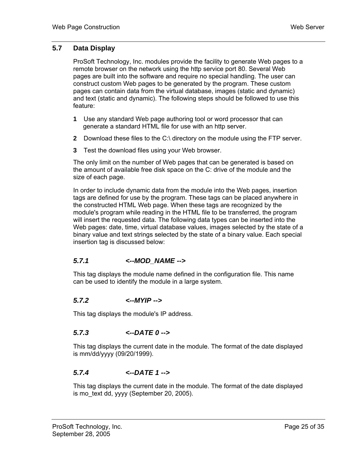#### **5.7 Data Display**

<span id="page-24-0"></span>ProSoft Technology, Inc. modules provide the facility to generate Web pages to a remote browser on the network using the http service port 80. Several Web pages are built into the software and require no special handling. The user can construct custom Web pages to be generated by the program. These custom pages can contain data from the virtual database, images (static and dynamic) and text (static and dynamic). The following steps should be followed to use this feature:

- **1** Use any standard Web page authoring tool or word processor that can generate a standard HTML file for use with an http server.
- **2** Download these files to the C:\ directory on the module using the FTP server.
- **3** Test the download files using your Web browser.

The only limit on the number of Web pages that can be generated is based on the amount of available free disk space on the C: drive of the module and the size of each page.

In order to include dynamic data from the module into the Web pages, insertion tags are defined for use by the program. These tags can be placed anywhere in the constructed HTML Web page. When these tags are recognized by the module's program while reading in the HTML file to be transferred, the program will insert the requested data. The following data types can be inserted into the Web pages: date, time, virtual database values, images selected by the state of a binary value and text strings selected by the state of a binary value. Each special insertion tag is discussed below:

#### <span id="page-24-1"></span>*5.7.1 <--MOD\_NAME -->*

This tag displays the module name defined in the configuration file. This name can be used to identify the module in a large system.

#### <span id="page-24-2"></span>*5.7.2 <--MYIP -->*

This tag displays the module's IP address.

#### <span id="page-24-3"></span>*5.7.3 <--DATE 0 -->*

This tag displays the current date in the module. The format of the date displayed is mm/dd/yyyy (09/20/1999).

#### <span id="page-24-4"></span>*5.7.4 <--DATE 1 -->*

This tag displays the current date in the module. The format of the date displayed is mo\_text dd, yyyy (September 20, 2005).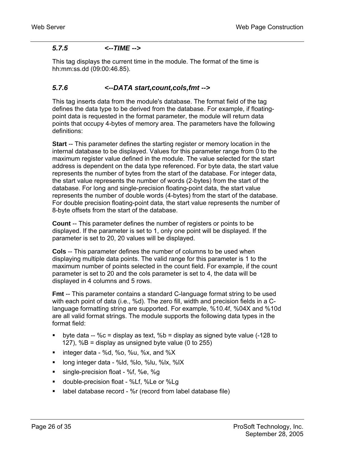#### <span id="page-25-0"></span>*5.7.5 <--TIME -->*

This tag displays the current time in the module. The format of the time is hh:mm:ss.dd (09:00:46.85).

#### <span id="page-25-1"></span>*5.7.6 <--DATA start,count,cols,fmt -->*

This tag inserts data from the module's database. The format field of the tag defines the data type to be derived from the database. For example, if floatingpoint data is requested in the format parameter, the module will return data points that occupy 4-bytes of memory area. The parameters have the following definitions:

**Start** -- This parameter defines the starting register or memory location in the internal database to be displayed. Values for this parameter range from 0 to the maximum register value defined in the module. The value selected for the start address is dependent on the data type referenced. For byte data, the start value represents the number of bytes from the start of the database. For integer data, the start value represents the number of words (2-bytes) from the start of the database. For long and single-precision floating-point data, the start value represents the number of double words (4-bytes) from the start of the database. For double precision floating-point data, the start value represents the number of 8-byte offsets from the start of the database.

**Count** -- This parameter defines the number of registers or points to be displayed. If the parameter is set to 1, only one point will be displayed. If the parameter is set to 20, 20 values will be displayed.

**Cols** -- This parameter defines the number of columns to be used when displaying multiple data points. The valid range for this parameter is 1 to the maximum number of points selected in the count field. For example, if the count parameter is set to 20 and the cols parameter is set to 4, the data will be displayed in 4 columns and 5 rows.

**Fmt** -- This parameter contains a standard C-language format string to be used with each point of data (i.e., %d). The zero fill, width and precision fields in a Clanguage formatting string are supported. For example, %10.4f, %04X and %10d are all valid format strings. The module supports the following data types in the format field:

- byte data --  $\%c =$  display as text,  $\%b =$  display as signed byte value (-128 to 127), %B = display as unsigned byte value (0 to 255)
- $\blacksquare$  integer data %d, %o, %u, %x, and %X
- **-** long integer data %ld, %lo, %lu, %lx, %lX
- single-precision float %f, %e, %g
- double-precision float %Lf, %Le or %Lg
- **EXECT** label database record %r (record from label database file)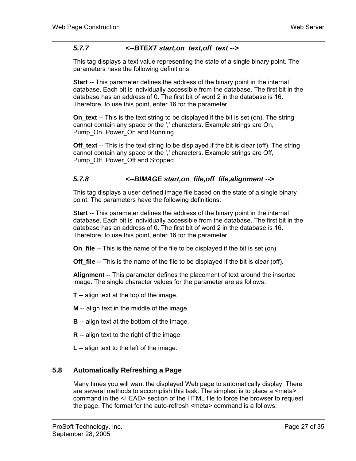#### *5.7.7 <--BTEXT start,on\_text,off\_text -->*

<span id="page-26-0"></span>This tag displays a text value representing the state of a single binary point. The parameters have the following definitions:

**Start** -- This parameter defines the address of the binary point in the internal database. Each bit is individually accessible from the database. The first bit in the database has an address of 0. The first bit of word 2 in the database is 16. Therefore, to use this point, enter 16 for the parameter.

**On\_text** -- This is the text string to be displayed if the bit is set (on). The string cannot contain any space or the ',' characters. Example strings are On, Pump On, Power On and Running.

**Off** text -- This is the text string to be displayed if the bit is clear (off). The string cannot contain any space or the ',' characters. Example strings are Off, Pump\_Off, Power\_Off and Stopped.

#### <span id="page-26-1"></span>*5.7.8 <--BIMAGE start,on\_file,off\_file,alignment -->*

This tag displays a user defined image file based on the state of a single binary point. The parameters have the following definitions:

**Start** -- This parameter defines the address of the binary point in the internal database. Each bit is individually accessible from the database. The first bit in the database has an address of 0. The first bit of word 2 in the database is 16. Therefore, to use this point, enter 16 for the parameter.

**On file** -- This is the name of the file to be displayed if the bit is set (on).

**Off\_file** -- This is the name of the file to be displayed if the bit is clear (off).

**Alignment** -- This parameter defines the placement of text around the inserted image. The single character values for the parameter are as follows:

**T** -- align text at the top of the image.

**M** -- align text in the middle of the image.

- **B** -- align text at the bottom of the image.
- **R** -- align text to the right of the image
- **L** -- align text to the left of the image.

#### **5.8 Automatically Refreshing a Page**

<span id="page-26-2"></span>Many times you will want the displayed Web page to automatically display. There are several methods to accomplish this task. The simplest is to place a <meta> command in the <HEAD> section of the HTML file to force the browser to request the page. The format for the auto-refresh <meta> command is a follows: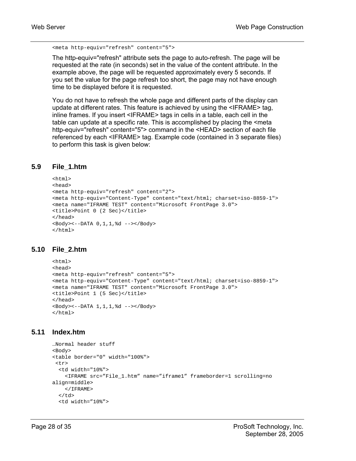```
<meta http-equiv="refresh" content="5">
```
The http-equiv="refresh" attribute sets the page to auto-refresh. The page will be requested at the rate (in seconds) set in the value of the content attribute. In the example above, the page will be requested approximately every 5 seconds. If you set the value for the page refresh too short, the page may not have enough time to be displayed before it is requested.

You do not have to refresh the whole page and different parts of the display can update at different rates. This feature is achieved by using the <IFRAME> tag, inline frames. If you insert <IFRAME> tags in cells in a table, each cell in the table can update at a specific rate. This is accomplished by placing the <meta http-equiv="refresh" content="5"> command in the <HEAD> section of each file referenced by each <IFRAME> tag. Example code (contained in 3 separate files) to perform this task is given below:

#### **5.9 File\_1.htm**

```
<html>
<head> 
<meta http-equiv="refresh" content="2"> 
<meta http-equiv="Content-Type" content="text/html; charset=iso-8859-1"> 
<meta name="IFRAME TEST" content="Microsoft FrontPage 3.0"> 
<title>Point 0 (2 Sec)</title> 
</head> 
<Body><--DATA 0,1,1,%d --></Body> 
</html>
```
#### **5.10 File\_2.htm**

```
<html> 
<head> 
<meta http-equiv="refresh" content="5"> 
<meta http-equiv="Content-Type" content="text/html; charset=iso-8859-1"> 
<meta name="IFRAME TEST" content="Microsoft FrontPage 3.0"> 
<title>Point 1 (5 Sec)</title> 
</head> 
<Body><--DATA 1,1,1,%d --></Body> 
\langle/html>
```
#### **5.11 Index.htm**

```
…Normal header stuff 
<Body> 
<table border="0" width="100%"> 
<tr>
   <td width="10%"> 
     <IFRAME src="File_1.htm" name="iframe1" frameborder=1 scrolling=no 
align=middle> 
    </IFRAME> 
  \langle t \, d \rangle <td width="10%">
```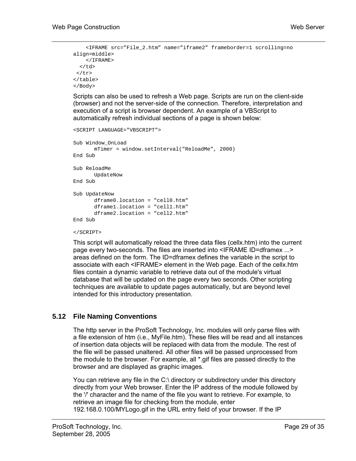```
 <IFRAME src="File_2.htm" name="iframe2" frameborder=1 scrolling=no 
align=middle> 
     </IFRAME> 
  </td>
 \langle/tr>
</table> 
</Body>
```
Scripts can also be used to refresh a Web page. Scripts are run on the client-side (browser) and not the server-side of the connection. Therefore, interpretation and execution of a script is browser dependent. An example of a VBScript to automatically refresh individual sections of a page is shown below:

```
<SCRIPT LANGUAGE="VBSCRIPT"> 
Sub Window_OnLoad 
        mTimer = window.setInterval("ReloadMe", 2000) 
End Sub 
Sub ReloadMe 
        UpdateNow 
End Sub 
Sub UpdateNow 
        dframe0.location = "cell0.htm" 
        dframe1.location = "cell1.htm" 
        dframe2.location = "cell2.htm" 
End Sub
```
#### </SCRIPT>

This script will automatically reload the three data files (cellx.htm) into the current page every two-seconds. The files are inserted into <IFRAME ID=dframex ...> areas defined on the form. The ID=dframex defines the variable in the script to associate with each <IFRAME> element in the Web page. Each of the cellx.htm files contain a dynamic variable to retrieve data out of the module's virtual database that will be updated on the page every two seconds. Other scripting techniques are available to update pages automatically, but are beyond level intended for this introductory presentation.

#### **5.12 File Naming Conventions**

<span id="page-28-0"></span>The http server in the ProSoft Technology, Inc. modules will only parse files with a file extension of htm (i.e., MyFile.htm). These files will be read and all instances of insertion data objects will be replaced with data from the module. The rest of the file will be passed unaltered. All other files will be passed unprocessed from the module to the browser. For example, all \*.gif files are passed directly to the browser and are displayed as graphic images.

You can retrieve any file in the C:\ directory or subdirectory under this directory directly from your Web browser. Enter the IP address of the module followed by the '/' character and the name of the file you want to retrieve. For example, to retrieve an image file for checking from the module, enter 192.168.0.100/MYLogo.gif in the URL entry field of your browser. If the IP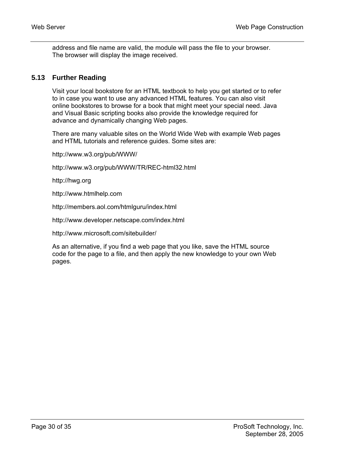address and file name are valid, the module will pass the file to your browser. The browser will display the image received.

#### **5.13 Further Reading**

<span id="page-29-0"></span>Visit your local bookstore for an HTML textbook to help you get started or to refer to in case you want to use any advanced HTML features. You can also visit online bookstores to browse for a book that might meet your special need. Java and Visual Basic scripting books also provide the knowledge required for advance and dynamically changing Web pages.

There are many valuable sites on the World Wide Web with example Web pages and HTML tutorials and reference guides. Some sites are:

http://www.w3.org/pub/WWW/

http://www.w3.org/pub/WWW/TR/REC-html32.html

http://hwg.org

http://www.htmlhelp.com

http://members.aol.com/htmlguru/index.html

http://www.developer.netscape.com/index.html

http://www.microsoft.com/sitebuilder/

As an alternative, if you find a web page that you like, save the HTML source code for the page to a file, and then apply the new knowledge to your own Web pages.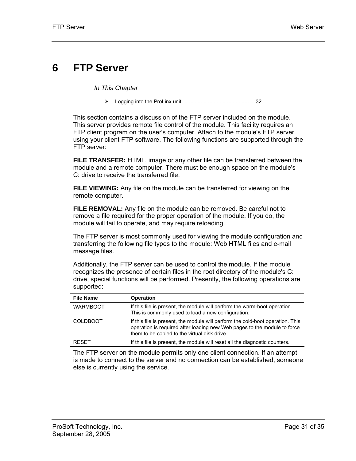# <span id="page-30-0"></span>**6 FTP Server**

*In This Chapter* 

▶ Logging into the ProLinux unit...<sub>1</sub>...<sub>1</sub>...<sub>2</sub>...<sub>32</sub>

This section contains a discussion of the FTP server included on the module. This server provides remote file control of the module. This facility requires an FTP client program on the user's computer. Attach to the module's FTP server using your client FTP software. The following functions are supported through the FTP server:

**FILE TRANSFER:** HTML, image or any other file can be transferred between the module and a remote computer. There must be enough space on the module's C: drive to receive the transferred file.

**FILE VIEWING:** Any file on the module can be transferred for viewing on the remote computer.

**FILE REMOVAL:** Any file on the module can be removed. Be careful not to remove a file required for the proper operation of the module. If you do, the module will fail to operate, and may require reloading.

The FTP server is most commonly used for viewing the module configuration and transferring the following file types to the module: Web HTML files and e-mail message files.

Additionally, the FTP server can be used to control the module. If the module recognizes the presence of certain files in the root directory of the module's C: drive, special functions will be performed. Presently, the following operations are supported:

| <b>File Name</b> | <b>Operation</b>                                                                                                                                                                                           |
|------------------|------------------------------------------------------------------------------------------------------------------------------------------------------------------------------------------------------------|
| <b>WARMBOOT</b>  | If this file is present, the module will perform the warm-boot operation.<br>This is commonly used to load a new configuration.                                                                            |
| <b>COLDBOOT</b>  | If this file is present, the module will perform the cold-boot operation. This<br>operation is required after loading new Web pages to the module to force<br>them to be copied to the virtual disk drive. |
| <b>RESET</b>     | If this file is present, the module will reset all the diagnostic counters.                                                                                                                                |

The FTP server on the module permits only one client connection. If an attempt is made to connect to the server and no connection can be established, someone else is currently using the service.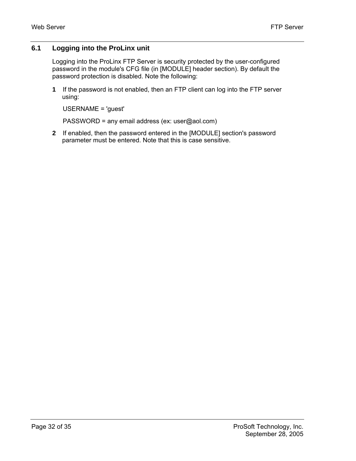#### **6.1 Logging into the ProLinx unit**

<span id="page-31-0"></span>Logging into the ProLinx FTP Server is security protected by the user-configured password in the module's CFG file (in [MODULE] header section). By default the password protection is disabled. Note the following:

**1** If the password is not enabled, then an FTP client can log into the FTP server using:

```
USERNAME = 'guest'
```
PASSWORD = any email address (ex: user@aol.com)

**2** If enabled, then the password entered in the [MODULE] section's password parameter must be entered. Note that this is case sensitive.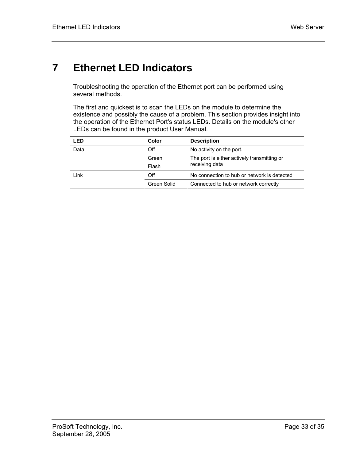# <span id="page-32-0"></span>**7 Ethernet LED Indicators**

Troubleshooting the operation of the Ethernet port can be performed using several methods.

The first and quickest is to scan the LEDs on the module to determine the existence and possibly the cause of a problem. This section provides insight into the operation of the Ethernet Port's status LEDs. Details on the module's other LEDs can be found in the product User Manual.

| LED  | Color       | <b>Description</b>                          |
|------|-------------|---------------------------------------------|
| Data | Off         | No activity on the port.                    |
|      | Green       | The port is either actively transmitting or |
|      | Flash       | receiving data                              |
| Link | Off         | No connection to hub or network is detected |
|      | Green Solid | Connected to hub or network correctly       |